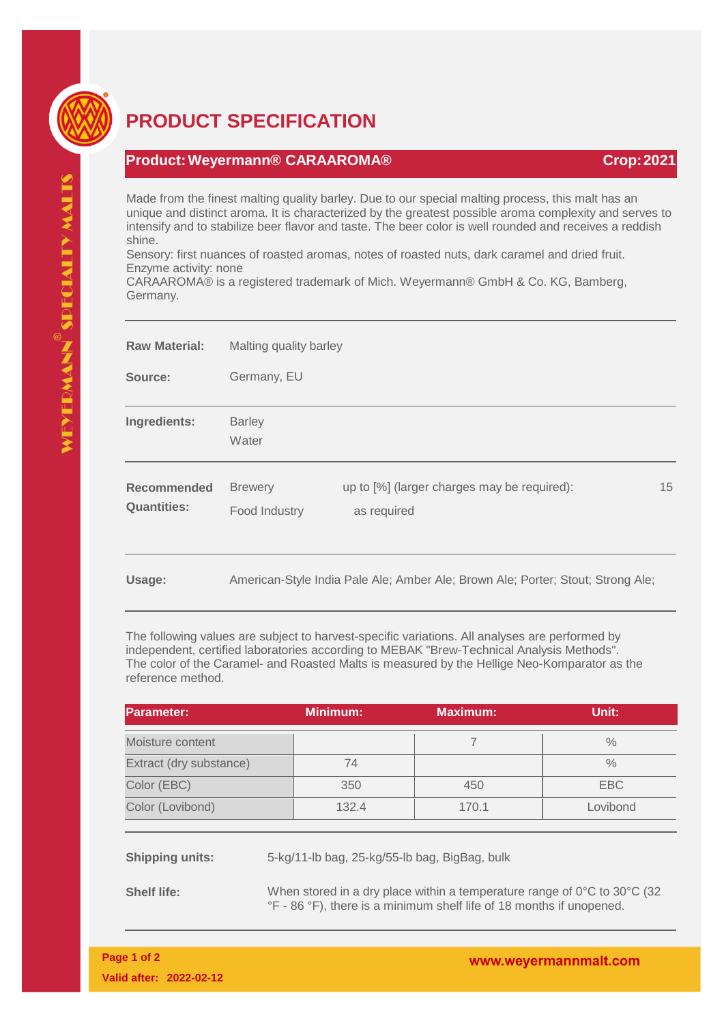

## **PRODUCT SPECIFICATION**

## **Product:Weyermann® CARAAROMA® Crop:2021**

Made from the finest malting quality barley. Due to our special malting process, this malt has an unique and distinct aroma. It is characterized by the greatest possible aroma complexity and serves to intensify and to stabilize beer flavor and taste. The beer color is well rounded and receives a reddish shine.

Sensory: first nuances of roasted aromas, notes of roasted nuts, dark caramel and dried fruit. Enzyme activity: none

CARAAROMA® is a registered trademark of Mich. Weyermann® GmbH & Co. KG, Bamberg, Germany.

| <b>Raw Material:</b>              | Malting quality barley                                                          |                                                            |    |  |
|-----------------------------------|---------------------------------------------------------------------------------|------------------------------------------------------------|----|--|
| Source:                           | Germany, EU                                                                     |                                                            |    |  |
| Ingredients:                      | <b>Barley</b><br>Water                                                          |                                                            |    |  |
| Recommended<br><b>Quantities:</b> | <b>Brewery</b><br>Food Industry                                                 | up to [%] (larger charges may be required):<br>as required | 15 |  |
| Usage:                            | American-Style India Pale Ale; Amber Ale; Brown Ale; Porter; Stout; Strong Ale; |                                                            |    |  |

The following values are subject to harvest-specific variations. All analyses are performed by independent, certified laboratories according to MEBAK "Brew-Technical Analysis Methods". The color of the Caramel- and Roasted Malts is measured by the Hellige Neo-Komparator as the reference method.

| Parameter:              | <b>Minimum:</b> | <b>Maximum:</b> | Unit:         |
|-------------------------|-----------------|-----------------|---------------|
| Moisture content        |                 |                 | $\frac{0}{0}$ |
| Extract (dry substance) | 74              |                 | $\frac{0}{0}$ |
| Color (EBC)             | 350             | 450             | EBC           |
| Color (Lovibond)        | 132.4           | 170.1           | Lovibond      |

**Shipping units:** 5-kg/11-lb bag, 25-kg/55-lb bag, BigBag, bulk

**Shelf life:** When stored in a dry place within a temperature range of 0°C to 30°C (32 °F - 86 °F), there is a minimum shelf life of 18 months if unopened.